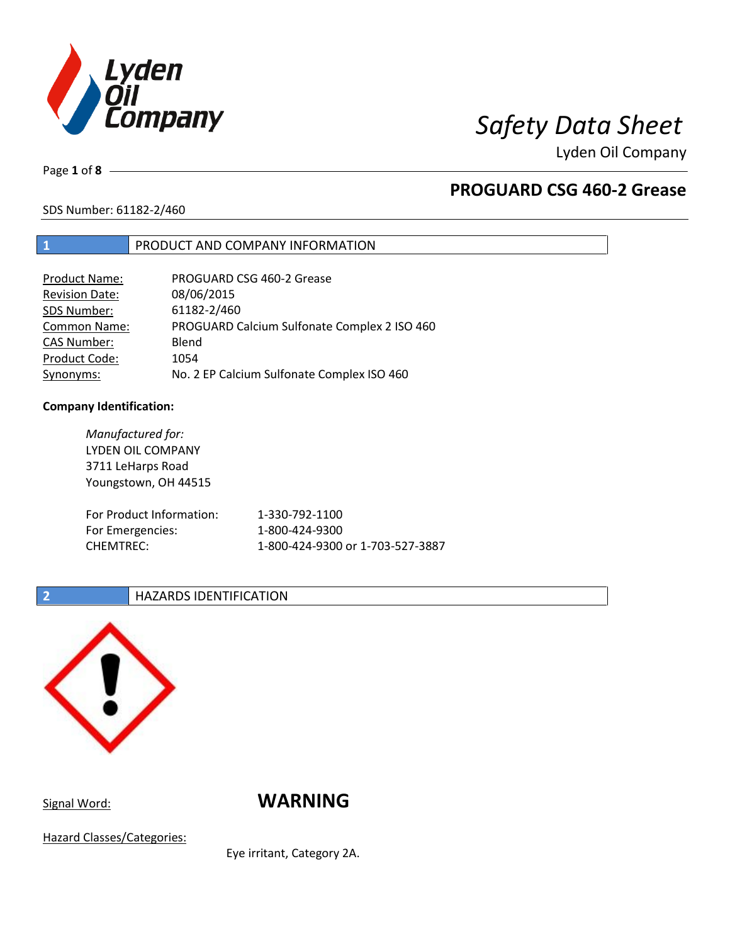

# *Safety Data Sheet*

Lyden Oil Company

Page **1** of **8**

# **PROGUARD CSG 460-2 Grease**

SDS Number: 61182-2/460

### **1** PRODUCT AND COMPANY INFORMATION

| <b>Product Name:</b>  | PROGUARD CSG 460-2 Grease                    |
|-----------------------|----------------------------------------------|
| <b>Revision Date:</b> | 08/06/2015                                   |
| SDS Number:           | 61182-2/460                                  |
| Common Name:          | PROGUARD Calcium Sulfonate Complex 2 ISO 460 |
| <b>CAS Number:</b>    | Blend                                        |
| Product Code:         | 1054                                         |
| Synonyms:             | No. 2 EP Calcium Sulfonate Complex ISO 460   |

### **Company Identification:**

| Manufactured for:<br>LYDEN OIL COMPANY<br>3711 LeHarps Road<br>Youngstown, OH 44515 |                                  |
|-------------------------------------------------------------------------------------|----------------------------------|
| For Product Information:                                                            | 1-330-792-1100                   |
| For Emergencies:                                                                    | 1-800-424-9300                   |
| <b>CHEMTREC:</b>                                                                    | 1-800-424-9300 or 1-703-527-3887 |

### **2 HAZARDS IDENTIFICATION**



Signal Word: **WARNING** 

Hazard Classes/Categories:

Eye irritant, Category 2A.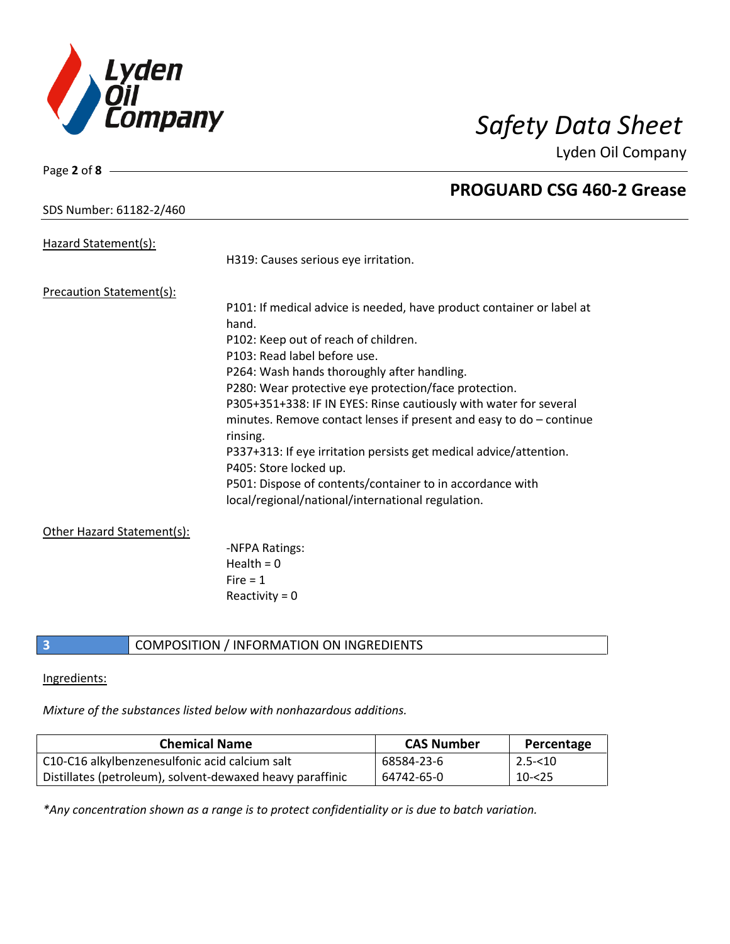

Lyden Oil Company

Page **2** of **8**

| Hazard Statement(s):            |                                                                                                                |
|---------------------------------|----------------------------------------------------------------------------------------------------------------|
|                                 | H319: Causes serious eye irritation.                                                                           |
| <b>Precaution Statement(s):</b> |                                                                                                                |
|                                 | P101: If medical advice is needed, have product container or label at<br>hand.                                 |
|                                 | P102: Keep out of reach of children.                                                                           |
|                                 | P103: Read label before use.                                                                                   |
|                                 | P264: Wash hands thoroughly after handling.                                                                    |
|                                 | P280: Wear protective eye protection/face protection.                                                          |
|                                 | P305+351+338: IF IN EYES: Rinse cautiously with water for several                                              |
|                                 | minutes. Remove contact lenses if present and easy to $do$ – continue<br>rinsing.                              |
|                                 | P337+313: If eye irritation persists get medical advice/attention.<br>P405: Store locked up.                   |
|                                 | P501: Dispose of contents/container to in accordance with<br>local/regional/national/international regulation. |
|                                 |                                                                                                                |
| Other Hazard Statement(s):      | -NFPA Ratings:<br>Health $= 0$<br>Fire $= 1$<br>Reactivity = $0$                                               |

### **3** COMPOSITION / INFORMATION ON INGREDIENTS

### Ingredients:

*Mixture of the substances listed below with nonhazardous additions.*

| <b>Chemical Name</b>                                      | <b>CAS Number</b> | Percentage |
|-----------------------------------------------------------|-------------------|------------|
| C10-C16 alkylbenzenesulfonic acid calcium salt            | 68584-23-6        | $2.5 - 10$ |
| Distillates (petroleum), solvent-dewaxed heavy paraffinic | 64742-65-0        | $10 - 25$  |

*\*Any concentration shown as a range is to protect confidentiality or is due to batch variation.*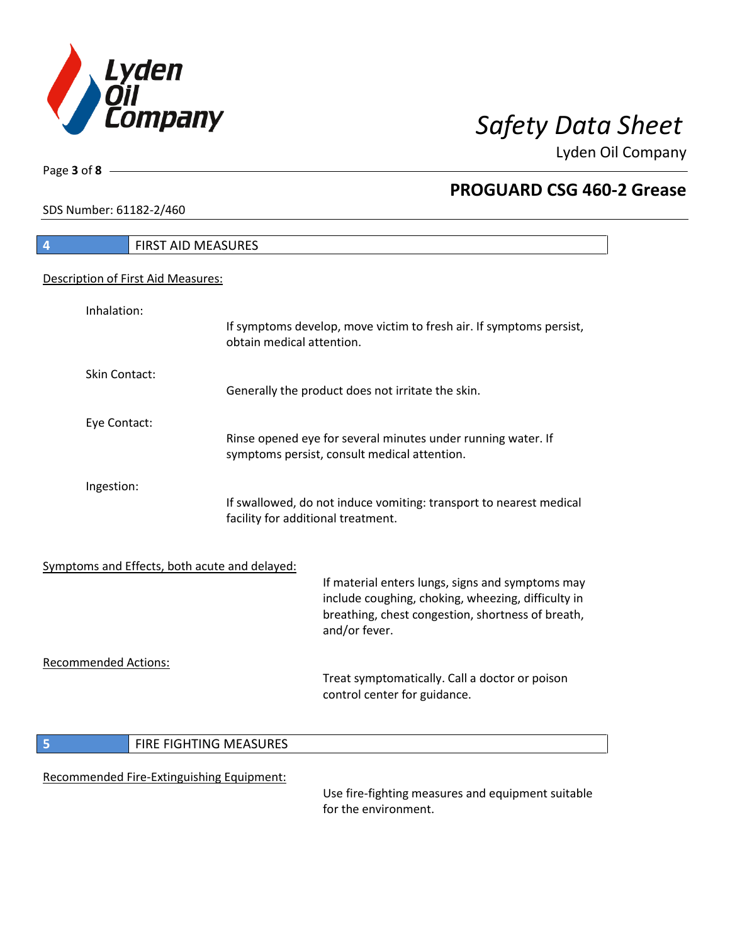

Lyden Oil Company

SDS Number: 61182-2/460

Page **3** of **8**

# **4** FIRST AID MEASURES Description of First Aid Measures: Inhalation: If symptoms develop, move victim to fresh air. If symptoms persist, obtain medical attention. Skin Contact: Generally the product does not irritate the skin. Eye Contact: Rinse opened eye for several minutes under running water. If symptoms persist, consult medical attention. Ingestion: If swallowed, do not induce vomiting: transport to nearest medical facility for additional treatment. Symptoms and Effects, both acute and delayed: If material enters lungs, signs and symptoms may include coughing, choking, wheezing, difficulty in breathing, chest congestion, shortness of breath, and/or fever. Recommended Actions: Treat symptomatically. Call a doctor or poison control center for guidance. **5 FIRE FIGHTING MEASURES** Recommended Fire-Extinguishing Equipment:

Use fire-fighting measures and equipment suitable for the environment.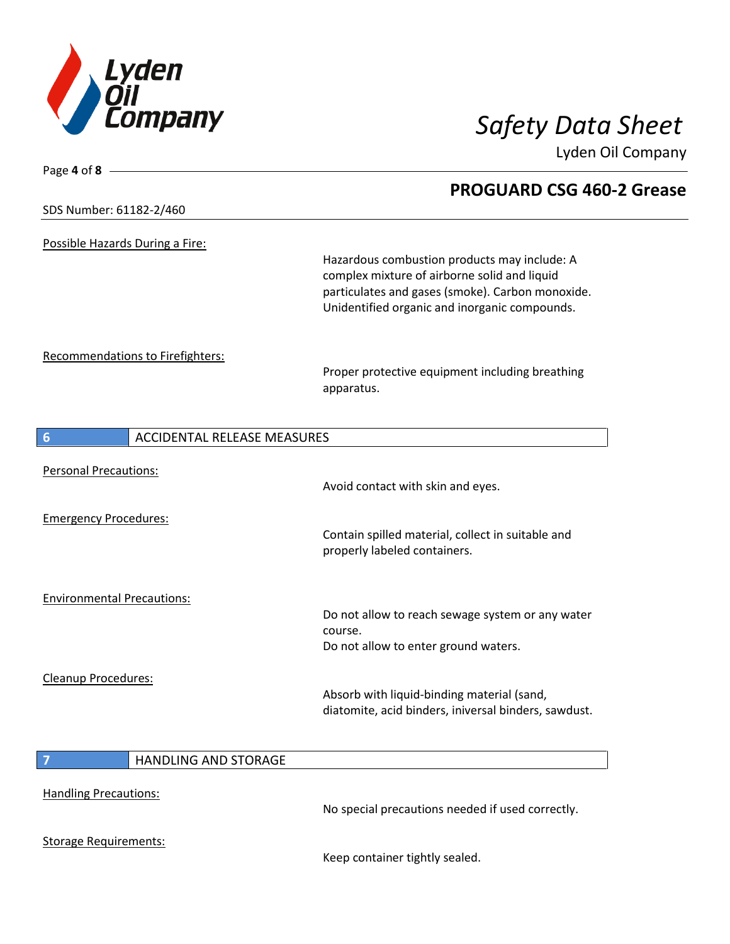

Lyden Oil Company

| Page 4 of 8                             |                                                                                                                                                  |
|-----------------------------------------|--------------------------------------------------------------------------------------------------------------------------------------------------|
|                                         | <b>PROGUARD CSG 460-2 Grease</b>                                                                                                                 |
| SDS Number: 61182-2/460                 |                                                                                                                                                  |
| Possible Hazards During a Fire:         |                                                                                                                                                  |
|                                         | Hazardous combustion products may include: A<br>complex mixture of airborne solid and liquid<br>particulates and gases (smoke). Carbon monoxide. |
|                                         | Unidentified organic and inorganic compounds.                                                                                                    |
| Recommendations to Firefighters:        |                                                                                                                                                  |
|                                         | Proper protective equipment including breathing<br>apparatus.                                                                                    |
| <b>ACCIDENTAL RELEASE MEASURES</b><br>6 |                                                                                                                                                  |
|                                         |                                                                                                                                                  |
| <b>Personal Precautions:</b>            | Avoid contact with skin and eyes.                                                                                                                |
| <b>Emergency Procedures:</b>            |                                                                                                                                                  |
|                                         | Contain spilled material, collect in suitable and<br>properly labeled containers.                                                                |
| <b>Environmental Precautions:</b>       |                                                                                                                                                  |
|                                         | Do not allow to reach sewage system or any water<br>course.                                                                                      |
|                                         | Do not allow to enter ground waters.                                                                                                             |
| Cleanup Procedures:                     |                                                                                                                                                  |
|                                         | Absorb with liquid-binding material (sand,<br>diatomite, acid binders, iniversal binders, sawdust.                                               |
| $\overline{7}$<br>HANDLING AND STORAGE  |                                                                                                                                                  |
|                                         |                                                                                                                                                  |
| <b>Handling Precautions:</b>            | No special precautions needed if used correctly.                                                                                                 |
| <b>Storage Requirements:</b>            |                                                                                                                                                  |

Keep container tightly sealed.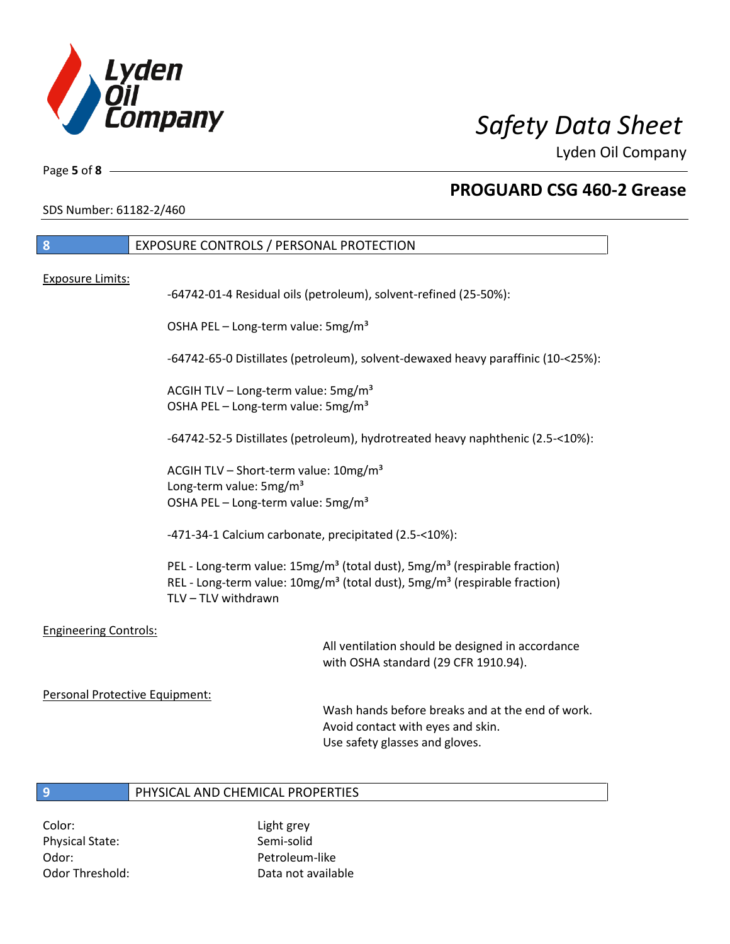

Lyden Oil Company

Page **5** of **8**

## **PROGUARD CSG 460-2 Grease**

SDS Number: 61182-2/460

| 8                            | EXPOSURE CONTROLS / PERSONAL PROTECTION                                                                                                                                                                                       |
|------------------------------|-------------------------------------------------------------------------------------------------------------------------------------------------------------------------------------------------------------------------------|
| <b>Exposure Limits:</b>      |                                                                                                                                                                                                                               |
|                              | -64742-01-4 Residual oils (petroleum), solvent-refined (25-50%):                                                                                                                                                              |
|                              | OSHA PEL - Long-term value: 5mg/m <sup>3</sup>                                                                                                                                                                                |
|                              | -64742-65-0 Distillates (petroleum), solvent-dewaxed heavy paraffinic (10-<25%):                                                                                                                                              |
|                              | ACGIH TLV - Long-term value: 5mg/m <sup>3</sup><br>OSHA PEL - Long-term value: 5mg/m <sup>3</sup>                                                                                                                             |
|                              | -64742-52-5 Distillates (petroleum), hydrotreated heavy naphthenic (2.5-<10%):                                                                                                                                                |
|                              | ACGIH TLV - Short-term value: 10mg/m <sup>3</sup><br>Long-term value: 5mg/m <sup>3</sup><br>OSHA PEL - Long-term value: 5mg/m <sup>3</sup>                                                                                    |
|                              | -471-34-1 Calcium carbonate, precipitated (2.5-<10%):                                                                                                                                                                         |
|                              | PEL - Long-term value: 15mg/m <sup>3</sup> (total dust), 5mg/m <sup>3</sup> (respirable fraction)<br>REL - Long-term value: 10mg/m <sup>3</sup> (total dust), 5mg/m <sup>3</sup> (respirable fraction)<br>TLV - TLV withdrawn |
| <b>Engineering Controls:</b> | All ventilation should be designed in accordance<br>with OSHA standard (29 CFR 1910.94).                                                                                                                                      |

### Personal Protective Equipment:

Wash hands before breaks and at the end of work. Avoid contact with eyes and skin. Use safety glasses and gloves.

### **9** PHYSICAL AND CHEMICAL PROPERTIES

Color: Light grey Physical State: Semi-solid Odor: Petroleum-like

Odor Threshold: Data not available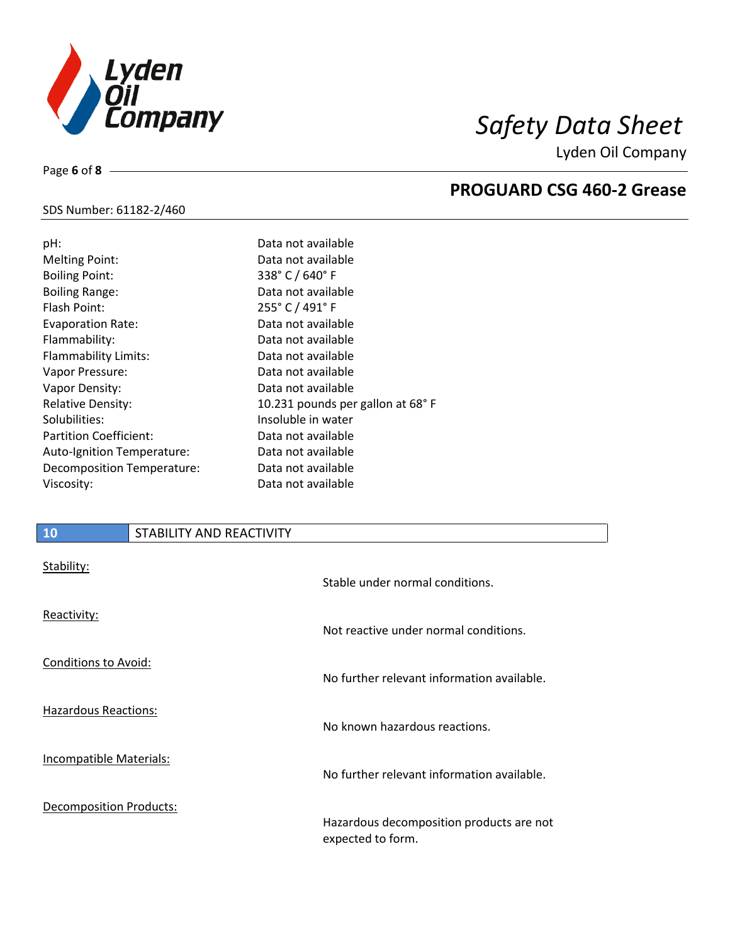

Lyden Oil Company

### SDS Number: 61182-2/460

Page **6** of **8**

| pH:                           | Data not available                |
|-------------------------------|-----------------------------------|
| <b>Melting Point:</b>         | Data not available                |
| <b>Boiling Point:</b>         | 338° C / 640° F                   |
| <b>Boiling Range:</b>         | Data not available                |
| Flash Point:                  | 255° C / 491° F                   |
| Evaporation Rate:             | Data not available                |
| Flammability:                 | Data not available                |
| Flammability Limits:          | Data not available                |
| Vapor Pressure:               | Data not available                |
| Vapor Density:                | Data not available                |
| <b>Relative Density:</b>      | 10.231 pounds per gallon at 68° F |
| Solubilities:                 | Insoluble in water                |
| <b>Partition Coefficient:</b> | Data not available                |
| Auto-Ignition Temperature:    | Data not available                |
| Decomposition Temperature:    | Data not available                |
| Viscosity:                    | Data not available                |
|                               |                                   |

## **10** STABILITY AND REACTIVITY

| Stability:                     | Stable under normal conditions.                               |
|--------------------------------|---------------------------------------------------------------|
| Reactivity:                    | Not reactive under normal conditions.                         |
| Conditions to Avoid:           | No further relevant information available.                    |
| <b>Hazardous Reactions:</b>    | No known hazardous reactions.                                 |
| <b>Incompatible Materials:</b> | No further relevant information available.                    |
| <b>Decomposition Products:</b> | Hazardous decomposition products are not<br>expected to form. |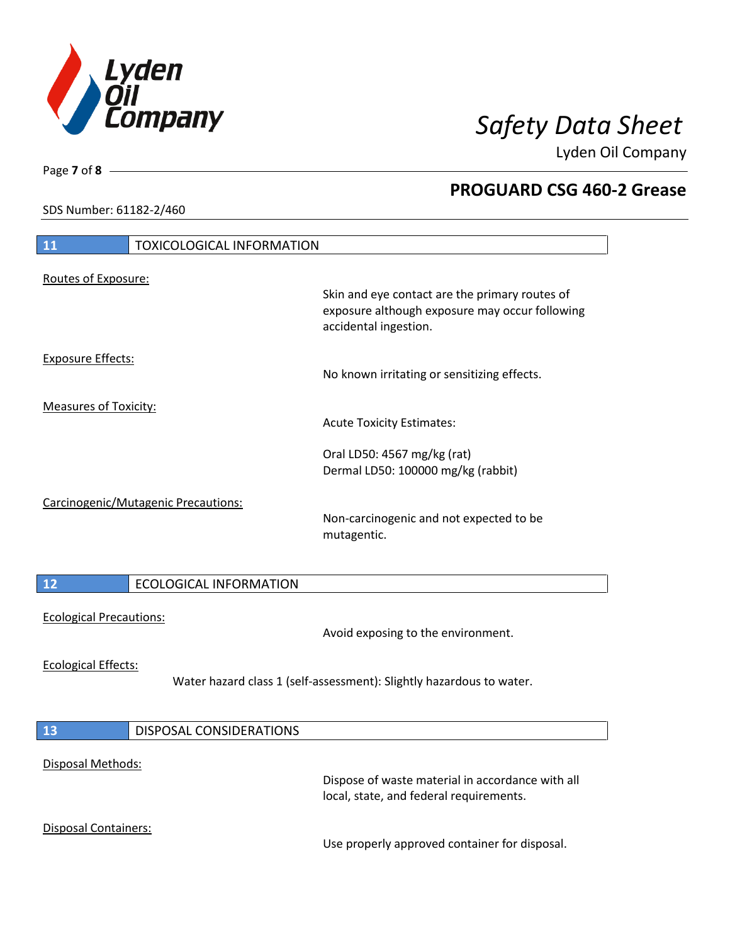

Lyden Oil Company

SDS Number: 61182-2/460

# **11** TOXICOLOGICAL INFORMATION Routes of Exposure: Skin and eye contact are the primary routes of exposure although exposure may occur following accidental ingestion. Exposure Effects: No known irritating or sensitizing effects. Measures of Toxicity: Acute Toxicity Estimates: Oral LD50: 4567 mg/kg (rat) Dermal LD50: 100000 mg/kg (rabbit) Carcinogenic/Mutagenic Precautions: Non-carcinogenic and not expected to be mutagentic. **12** ECOLOGICAL INFORMATION Ecological Precautions: Avoid exposing to the environment. Ecological Effects: Water hazard class 1 (self-assessment): Slightly hazardous to water. **13** DISPOSAL CONSIDERATIONS Disposal Methods: Dispose of waste material in accordance with all local, state, and federal requirements. Disposal Containers: Use properly approved container for disposal.

Page **7** of **8**